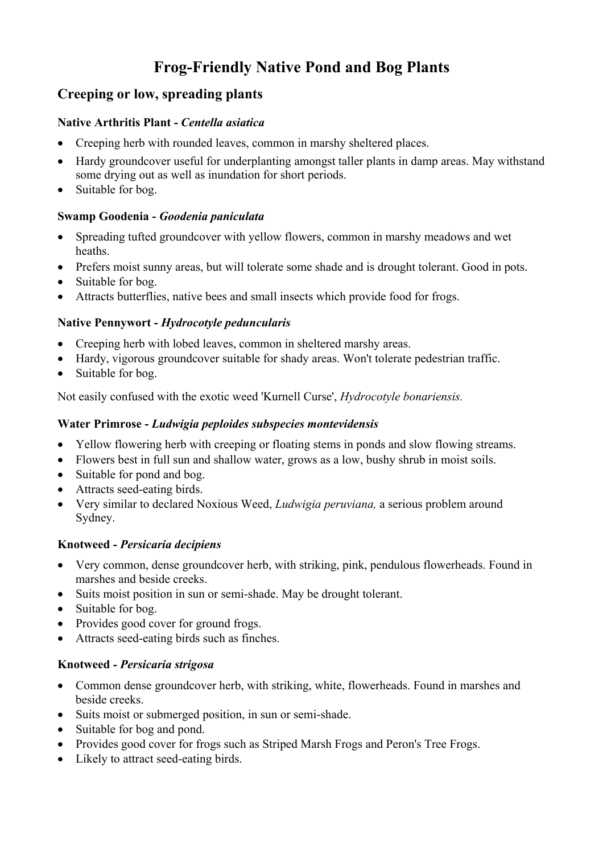# **Frog-Friendly Native Pond and Bog Plants**

# **Creeping or low, spreading plants**

#### **Native Arthritis Plant -** *Centella asiatica*

- Creeping herb with rounded leaves, common in marshy sheltered places.
- Hardy groundcover useful for underplanting amongst taller plants in damp areas. May withstand some drying out as well as inundation for short periods.
- Suitable for bog.

#### **Swamp Goodenia -** *Goodenia paniculata*

- Spreading tufted groundcover with yellow flowers, common in marshy meadows and wet heaths.
- Prefers moist sunny areas, but will tolerate some shade and is drought tolerant. Good in pots.
- Suitable for bog.
- Attracts butterflies, native bees and small insects which provide food for frogs.

#### **Native Pennywort -** *Hydrocotyle peduncularis*

- Creeping herb with lobed leaves, common in sheltered marshy areas.
- Hardy, vigorous groundcover suitable for shady areas. Won't tolerate pedestrian traffic.
- Suitable for bog.

Not easily confused with the exotic weed 'Kurnell Curse', *Hydrocotyle bonariensis.*

#### **Water Primrose -** *Ludwigia peploides subspecies montevidensis*

- Yellow flowering herb with creeping or floating stems in ponds and slow flowing streams.
- Flowers best in full sun and shallow water, grows as a low, bushy shrub in moist soils.
- Suitable for pond and bog.
- Attracts seed-eating birds.
- Very similar to declared Noxious Weed, *Ludwigia peruviana,* a serious problem around Sydney.

# **Knotweed -** *Persicaria decipiens*

- Very common, dense groundcover herb, with striking, pink, pendulous flowerheads. Found in marshes and beside creeks.
- Suits moist position in sun or semi-shade. May be drought tolerant.
- Suitable for bog.
- Provides good cover for ground frogs.
- Attracts seed-eating birds such as finches.

#### **Knotweed** *- Persicaria strigosa*

- Common dense groundcover herb, with striking, white, flowerheads. Found in marshes and beside creeks.
- Suits moist or submerged position, in sun or semi-shade.
- Suitable for bog and pond.
- Provides good cover for frogs such as Striped Marsh Frogs and Peron's Tree Frogs.
- Likely to attract seed-eating birds.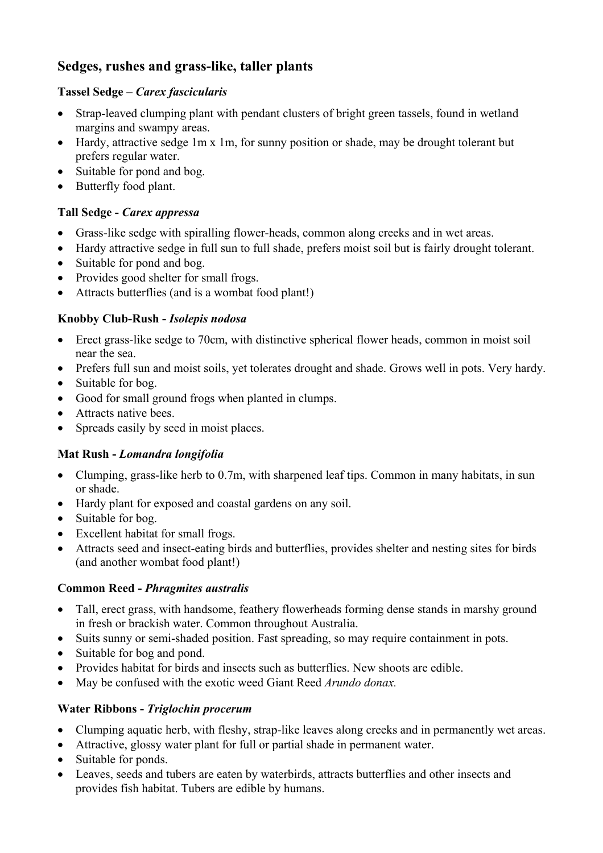# **Sedges, rushes and grass-like, taller plants**

#### **Tassel Sedge –** *Carex fascicularis*

- Strap-leaved clumping plant with pendant clusters of bright green tassels, found in wetland margins and swampy areas.
- Hardy, attractive sedge 1m x 1m, for sunny position or shade, may be drought tolerant but prefers regular water.
- Suitable for pond and bog.
- Butterfly food plant.

# **Tall Sedge -** *Carex appressa*

- Grass-like sedge with spiralling flower-heads, common along creeks and in wet areas.
- Hardy attractive sedge in full sun to full shade, prefers moist soil but is fairly drought tolerant.
- Suitable for pond and bog.
- Provides good shelter for small frogs.
- Attracts butterflies (and is a wombat food plant!)

# **Knobby Club-Rush -** *Isolepis nodosa*

- Erect grass-like sedge to 70cm, with distinctive spherical flower heads, common in moist soil near the sea.
- Prefers full sun and moist soils, yet tolerates drought and shade. Grows well in pots. Very hardy.
- Suitable for bog.
- Good for small ground frogs when planted in clumps.
- Attracts native bees.
- Spreads easily by seed in moist places.

# **Mat Rush -** *Lomandra longifolia*

- Clumping, grass-like herb to 0.7m, with sharpened leaf tips. Common in many habitats, in sun or shade.
- Hardy plant for exposed and coastal gardens on any soil.
- Suitable for bog.
- Excellent habitat for small frogs.
- Attracts seed and insect-eating birds and butterflies, provides shelter and nesting sites for birds (and another wombat food plant!)

# **Common Reed -** *Phragmites australis*

- Tall, erect grass, with handsome, feathery flowerheads forming dense stands in marshy ground in fresh or brackish water. Common throughout Australia.
- Suits sunny or semi-shaded position. Fast spreading, so may require containment in pots.
- Suitable for bog and pond.
- Provides habitat for birds and insects such as butterflies. New shoots are edible.
- May be confused with the exotic weed Giant Reed *Arundo donax.*

# **Water Ribbons -** *Triglochin procerum*

- Clumping aquatic herb, with fleshy, strap-like leaves along creeks and in permanently wet areas.
- Attractive, glossy water plant for full or partial shade in permanent water.
- Suitable for ponds.
- Leaves, seeds and tubers are eaten by waterbirds, attracts butterflies and other insects and provides fish habitat. Tubers are edible by humans.